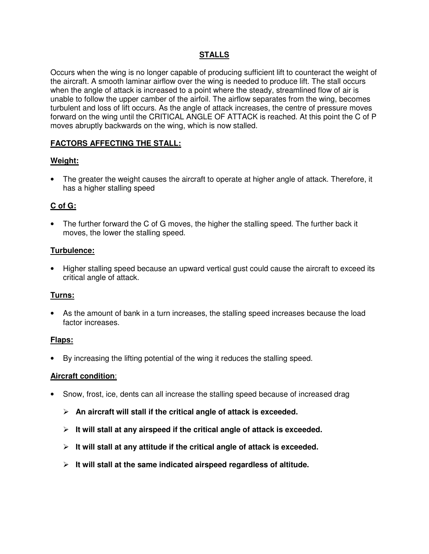# **STALLS**

Occurs when the wing is no longer capable of producing sufficient lift to counteract the weight of the aircraft. A smooth laminar airflow over the wing is needed to produce lift. The stall occurs when the angle of attack is increased to a point where the steady, streamlined flow of air is unable to follow the upper camber of the airfoil. The airflow separates from the wing, becomes turbulent and loss of lift occurs. As the angle of attack increases, the centre of pressure moves forward on the wing until the CRITICAL ANGLE OF ATTACK is reached. At this point the C of P moves abruptly backwards on the wing, which is now stalled.

# **FACTORS AFFECTING THE STALL:**

# **Weight:**

• The greater the weight causes the aircraft to operate at higher angle of attack. Therefore, it has a higher stalling speed

# **C of G:**

• The further forward the C of G moves, the higher the stalling speed. The further back it moves, the lower the stalling speed.

# **Turbulence:**

• Higher stalling speed because an upward vertical gust could cause the aircraft to exceed its critical angle of attack.

# **Turns:**

• As the amount of bank in a turn increases, the stalling speed increases because the load factor increases.

## **Flaps:**

• By increasing the lifting potential of the wing it reduces the stalling speed.

## **Aircraft condition**:

- Snow, frost, ice, dents can all increase the stalling speed because of increased drag
	- **An aircraft will stall if the critical angle of attack is exceeded.**
	- **It will stall at any airspeed if the critical angle of attack is exceeded.**
	- **It will stall at any attitude if the critical angle of attack is exceeded.**
	- **It will stall at the same indicated airspeed regardless of altitude.**